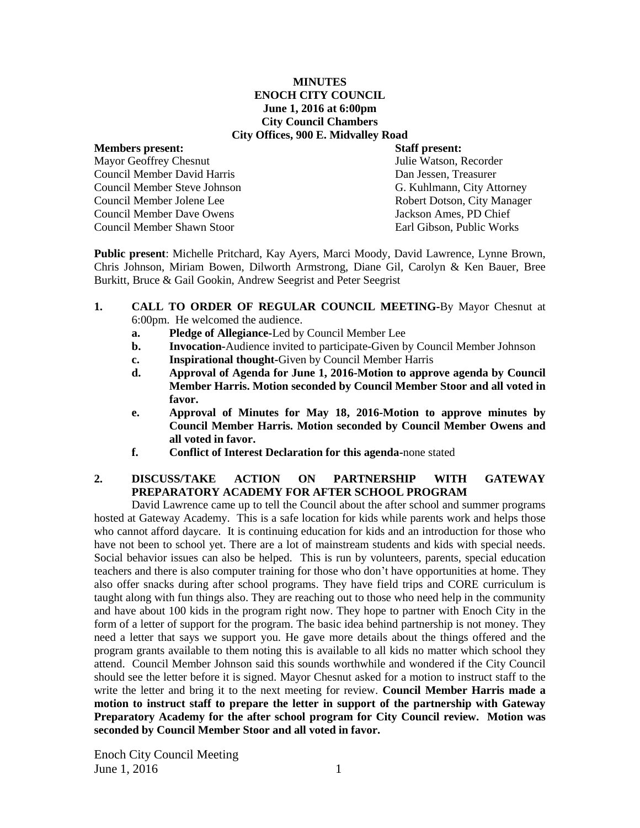#### **MINUTES ENOCH CITY COUNCIL June 1, 2016 at 6:00pm City Council Chambers City Offices, 900 E. Midvalley Road**

## **Members present: Staff present:** Mayor Geoffrey Chesnut Julie Watson, Recorder Council Member David Harris Dan Jessen, Treasurer Council Member Steve Johnson G. Kuhlmann, City Attorney Council Member Jolene Lee<br>
Council Member Dave Owens<br>
Council Member Dave Owens<br>
Council Member Dave Owens<br>
Council Member Dave Owens Council Member Dave Owens Council Member Shawn Stoor Earl Gibson, Public Works

**Public present**: Michelle Pritchard, Kay Ayers, Marci Moody, David Lawrence, Lynne Brown, Chris Johnson, Miriam Bowen, Dilworth Armstrong, Diane Gil, Carolyn & Ken Bauer, Bree Burkitt, Bruce & Gail Gookin, Andrew Seegrist and Peter Seegrist

- **1. CALL TO ORDER OF REGULAR COUNCIL MEETING-**By Mayor Chesnut at 6:00pm. He welcomed the audience.
	- **a. Pledge of Allegiance-**Led by Council Member Lee
	- **b. Invocation-**Audience invited to participate-Given by Council Member Johnson
	- **c. Inspirational thought-**Given by Council Member Harris
	- **d. Approval of Agenda for June 1, 2016-Motion to approve agenda by Council Member Harris. Motion seconded by Council Member Stoor and all voted in favor.**
	- **e. Approval of Minutes for May 18, 2016-Motion to approve minutes by Council Member Harris. Motion seconded by Council Member Owens and all voted in favor.**
	- **f. Conflict of Interest Declaration for this agenda-**none stated

# **2. DISCUSS/TAKE ACTION ON PARTNERSHIP WITH GATEWAY PREPARATORY ACADEMY FOR AFTER SCHOOL PROGRAM**

David Lawrence came up to tell the Council about the after school and summer programs hosted at Gateway Academy. This is a safe location for kids while parents work and helps those who cannot afford daycare. It is continuing education for kids and an introduction for those who have not been to school yet. There are a lot of mainstream students and kids with special needs. Social behavior issues can also be helped. This is run by volunteers, parents, special education teachers and there is also computer training for those who don't have opportunities at home. They also offer snacks during after school programs. They have field trips and CORE curriculum is taught along with fun things also. They are reaching out to those who need help in the community and have about 100 kids in the program right now. They hope to partner with Enoch City in the form of a letter of support for the program. The basic idea behind partnership is not money. They need a letter that says we support you. He gave more details about the things offered and the program grants available to them noting this is available to all kids no matter which school they attend. Council Member Johnson said this sounds worthwhile and wondered if the City Council should see the letter before it is signed. Mayor Chesnut asked for a motion to instruct staff to the write the letter and bring it to the next meeting for review. **Council Member Harris made a motion to instruct staff to prepare the letter in support of the partnership with Gateway Preparatory Academy for the after school program for City Council review. Motion was seconded by Council Member Stoor and all voted in favor.**

Enoch City Council Meeting  $June 1, 2016$  1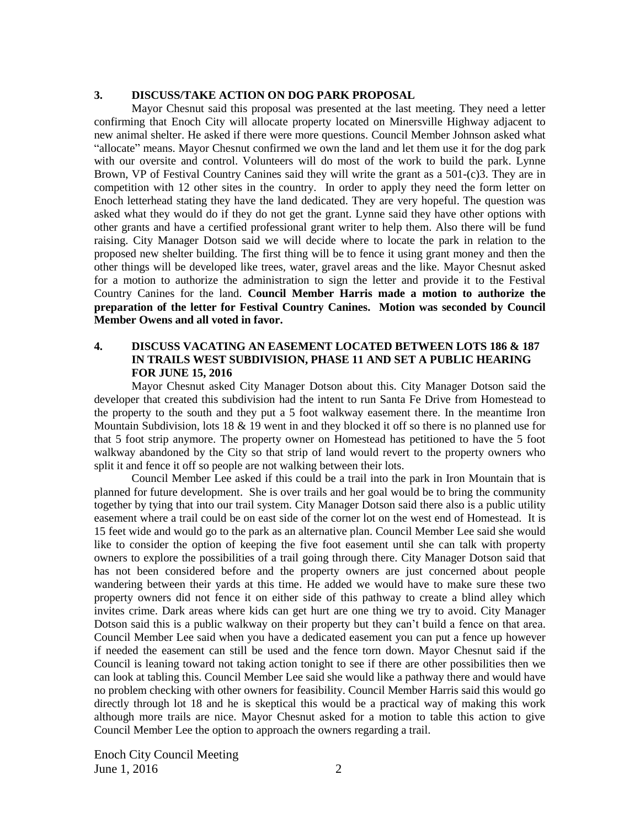#### **3. DISCUSS/TAKE ACTION ON DOG PARK PROPOSAL**

Mayor Chesnut said this proposal was presented at the last meeting. They need a letter confirming that Enoch City will allocate property located on Minersville Highway adjacent to new animal shelter. He asked if there were more questions. Council Member Johnson asked what "allocate" means. Mayor Chesnut confirmed we own the land and let them use it for the dog park with our oversite and control. Volunteers will do most of the work to build the park. Lynne Brown, VP of Festival Country Canines said they will write the grant as a 501-(c)3. They are in competition with 12 other sites in the country. In order to apply they need the form letter on Enoch letterhead stating they have the land dedicated. They are very hopeful. The question was asked what they would do if they do not get the grant. Lynne said they have other options with other grants and have a certified professional grant writer to help them. Also there will be fund raising. City Manager Dotson said we will decide where to locate the park in relation to the proposed new shelter building. The first thing will be to fence it using grant money and then the other things will be developed like trees, water, gravel areas and the like. Mayor Chesnut asked for a motion to authorize the administration to sign the letter and provide it to the Festival Country Canines for the land. **Council Member Harris made a motion to authorize the preparation of the letter for Festival Country Canines. Motion was seconded by Council Member Owens and all voted in favor.** 

## **4. DISCUSS VACATING AN EASEMENT LOCATED BETWEEN LOTS 186 & 187 IN TRAILS WEST SUBDIVISION, PHASE 11 AND SET A PUBLIC HEARING FOR JUNE 15, 2016**

Mayor Chesnut asked City Manager Dotson about this. City Manager Dotson said the developer that created this subdivision had the intent to run Santa Fe Drive from Homestead to the property to the south and they put a 5 foot walkway easement there. In the meantime Iron Mountain Subdivision, lots 18 & 19 went in and they blocked it off so there is no planned use for that 5 foot strip anymore. The property owner on Homestead has petitioned to have the 5 foot walkway abandoned by the City so that strip of land would revert to the property owners who split it and fence it off so people are not walking between their lots.

Council Member Lee asked if this could be a trail into the park in Iron Mountain that is planned for future development. She is over trails and her goal would be to bring the community together by tying that into our trail system. City Manager Dotson said there also is a public utility easement where a trail could be on east side of the corner lot on the west end of Homestead. It is 15 feet wide and would go to the park as an alternative plan. Council Member Lee said she would like to consider the option of keeping the five foot easement until she can talk with property owners to explore the possibilities of a trail going through there. City Manager Dotson said that has not been considered before and the property owners are just concerned about people wandering between their yards at this time. He added we would have to make sure these two property owners did not fence it on either side of this pathway to create a blind alley which invites crime. Dark areas where kids can get hurt are one thing we try to avoid. City Manager Dotson said this is a public walkway on their property but they can't build a fence on that area. Council Member Lee said when you have a dedicated easement you can put a fence up however if needed the easement can still be used and the fence torn down. Mayor Chesnut said if the Council is leaning toward not taking action tonight to see if there are other possibilities then we can look at tabling this. Council Member Lee said she would like a pathway there and would have no problem checking with other owners for feasibility. Council Member Harris said this would go directly through lot 18 and he is skeptical this would be a practical way of making this work although more trails are nice. Mayor Chesnut asked for a motion to table this action to give Council Member Lee the option to approach the owners regarding a trail.

Enoch City Council Meeting June 1, 2016 2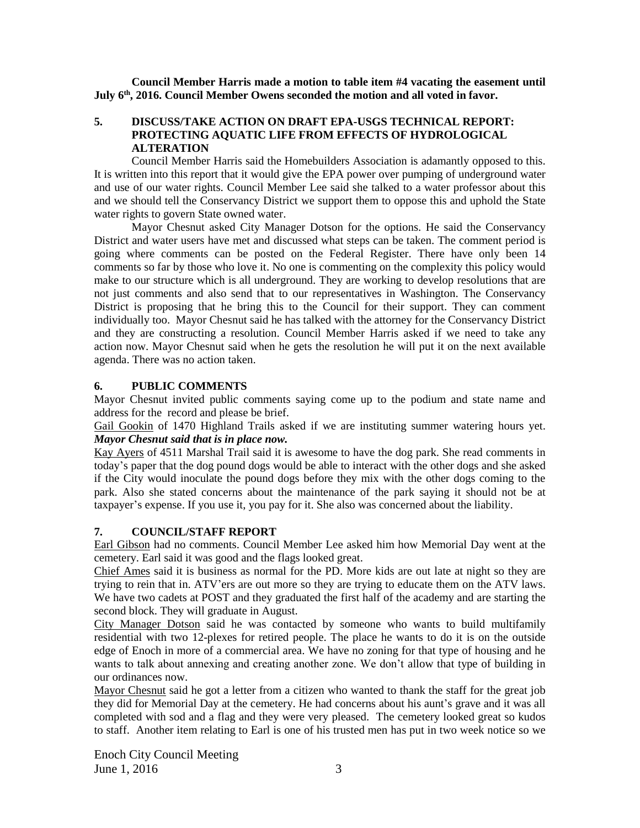**Council Member Harris made a motion to table item #4 vacating the easement until July 6th, 2016. Council Member Owens seconded the motion and all voted in favor.**

## **5. DISCUSS/TAKE ACTION ON DRAFT EPA-USGS TECHNICAL REPORT: PROTECTING AQUATIC LIFE FROM EFFECTS OF HYDROLOGICAL ALTERATION**

Council Member Harris said the Homebuilders Association is adamantly opposed to this. It is written into this report that it would give the EPA power over pumping of underground water and use of our water rights. Council Member Lee said she talked to a water professor about this and we should tell the Conservancy District we support them to oppose this and uphold the State water rights to govern State owned water.

Mayor Chesnut asked City Manager Dotson for the options. He said the Conservancy District and water users have met and discussed what steps can be taken. The comment period is going where comments can be posted on the Federal Register. There have only been 14 comments so far by those who love it. No one is commenting on the complexity this policy would make to our structure which is all underground. They are working to develop resolutions that are not just comments and also send that to our representatives in Washington. The Conservancy District is proposing that he bring this to the Council for their support. They can comment individually too. Mayor Chesnut said he has talked with the attorney for the Conservancy District and they are constructing a resolution. Council Member Harris asked if we need to take any action now. Mayor Chesnut said when he gets the resolution he will put it on the next available agenda. There was no action taken.

#### **6. PUBLIC COMMENTS**

Mayor Chesnut invited public comments saying come up to the podium and state name and address for the record and please be brief.

Gail Gookin of 1470 Highland Trails asked if we are instituting summer watering hours yet. *Mayor Chesnut said that is in place now.*

Kay Ayers of 4511 Marshal Trail said it is awesome to have the dog park. She read comments in today's paper that the dog pound dogs would be able to interact with the other dogs and she asked if the City would inoculate the pound dogs before they mix with the other dogs coming to the park. Also she stated concerns about the maintenance of the park saying it should not be at taxpayer's expense. If you use it, you pay for it. She also was concerned about the liability.

#### **7. COUNCIL/STAFF REPORT**

Earl Gibson had no comments. Council Member Lee asked him how Memorial Day went at the cemetery. Earl said it was good and the flags looked great.

Chief Ames said it is business as normal for the PD. More kids are out late at night so they are trying to rein that in. ATV'ers are out more so they are trying to educate them on the ATV laws. We have two cadets at POST and they graduated the first half of the academy and are starting the second block. They will graduate in August.

City Manager Dotson said he was contacted by someone who wants to build multifamily residential with two 12-plexes for retired people. The place he wants to do it is on the outside edge of Enoch in more of a commercial area. We have no zoning for that type of housing and he wants to talk about annexing and creating another zone. We don't allow that type of building in our ordinances now.

Mayor Chesnut said he got a letter from a citizen who wanted to thank the staff for the great job they did for Memorial Day at the cemetery. He had concerns about his aunt's grave and it was all completed with sod and a flag and they were very pleased. The cemetery looked great so kudos to staff.Another item relating to Earl is one of his trusted men has put in two week notice so we

Enoch City Council Meeting  $June 1, 2016$  3